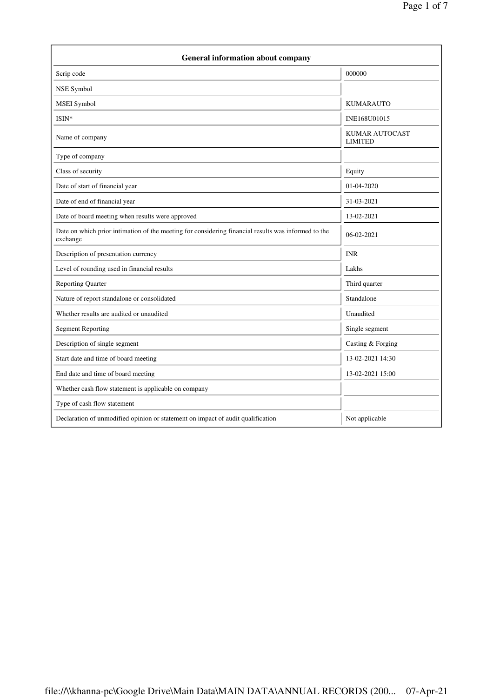| <b>General information about company</b>                                                                        |                                         |
|-----------------------------------------------------------------------------------------------------------------|-----------------------------------------|
| Scrip code                                                                                                      | 000000                                  |
| NSE Symbol                                                                                                      |                                         |
| MSEI Symbol                                                                                                     | <b>KUMARAUTO</b>                        |
| ISIN*                                                                                                           | INE168U01015                            |
| Name of company                                                                                                 | <b>KUMAR AUTOCAST</b><br><b>LIMITED</b> |
| Type of company                                                                                                 |                                         |
| Class of security                                                                                               | Equity                                  |
| Date of start of financial year                                                                                 | 01-04-2020                              |
| Date of end of financial year                                                                                   | 31-03-2021                              |
| Date of board meeting when results were approved                                                                | 13-02-2021                              |
| Date on which prior intimation of the meeting for considering financial results was informed to the<br>exchange | 06-02-2021                              |
| Description of presentation currency                                                                            | <b>INR</b>                              |
| Level of rounding used in financial results                                                                     | Lakhs                                   |
| <b>Reporting Quarter</b>                                                                                        | Third quarter                           |
| Nature of report standalone or consolidated                                                                     | Standalone                              |
| Whether results are audited or unaudited                                                                        | Unaudited                               |
| <b>Segment Reporting</b>                                                                                        | Single segment                          |
| Description of single segment                                                                                   | Casting & Forging                       |
| Start date and time of board meeting                                                                            | 13-02-2021 14:30                        |
| End date and time of board meeting                                                                              | 13-02-2021 15:00                        |
| Whether cash flow statement is applicable on company                                                            |                                         |
| Type of cash flow statement                                                                                     |                                         |
| Declaration of unmodified opinion or statement on impact of audit qualification                                 | Not applicable                          |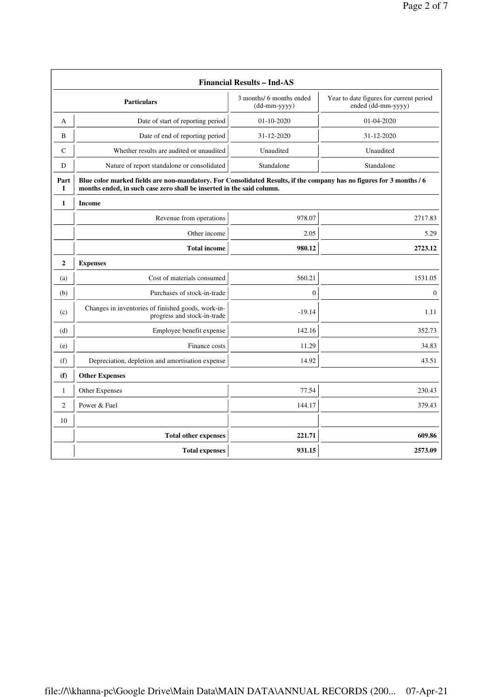| <b>Financial Results - Ind-AS</b> |                                                                                                                                                                                               |                                            |                                                               |
|-----------------------------------|-----------------------------------------------------------------------------------------------------------------------------------------------------------------------------------------------|--------------------------------------------|---------------------------------------------------------------|
|                                   | <b>Particulars</b>                                                                                                                                                                            | 3 months/ 6 months ended<br>$(dd-mm-yyyy)$ | Year to date figures for current period<br>ended (dd-mm-yyyy) |
| A                                 | Date of start of reporting period                                                                                                                                                             | 01-10-2020                                 | 01-04-2020                                                    |
| B                                 | Date of end of reporting period                                                                                                                                                               | 31-12-2020                                 | 31-12-2020                                                    |
| C                                 | Whether results are audited or unaudited                                                                                                                                                      | Unaudited                                  | Unaudited                                                     |
| D                                 | Nature of report standalone or consolidated                                                                                                                                                   | Standalone                                 | Standalone                                                    |
| Part<br>L                         | Blue color marked fields are non-mandatory. For Consolidated Results, if the company has no figures for 3 months / 6<br>months ended, in such case zero shall be inserted in the said column. |                                            |                                                               |
| 1                                 | <b>Income</b>                                                                                                                                                                                 |                                            |                                                               |
|                                   | Revenue from operations                                                                                                                                                                       | 978.07                                     | 2717.83                                                       |
|                                   | Other income                                                                                                                                                                                  | 2.05                                       | 5.29                                                          |
|                                   | <b>Total income</b>                                                                                                                                                                           | 980.12                                     | 2723.12                                                       |
| $\mathbf{2}$                      | <b>Expenses</b>                                                                                                                                                                               |                                            |                                                               |
| (a)                               | Cost of materials consumed                                                                                                                                                                    | 560.21                                     | 1531.05                                                       |
| (b)                               | Purchases of stock-in-trade                                                                                                                                                                   | $\boldsymbol{0}$                           | $\boldsymbol{0}$                                              |
| (c)                               | Changes in inventories of finished goods, work-in-<br>progress and stock-in-trade                                                                                                             | $-19.14$                                   | 1.11                                                          |
| (d)                               | Employee benefit expense                                                                                                                                                                      | 142.16                                     | 352.73                                                        |
| (e)                               | Finance costs                                                                                                                                                                                 | 11.29                                      | 34.83                                                         |
| (f)                               | Depreciation, depletion and amortisation expense                                                                                                                                              | 14.92                                      | 43.51                                                         |
| (f)                               | <b>Other Expenses</b>                                                                                                                                                                         |                                            |                                                               |
| $\mathbf{1}$                      | Other Expenses                                                                                                                                                                                | 77.54                                      | 230.43                                                        |
| $\overline{c}$                    | Power & Fuel                                                                                                                                                                                  | 144.17                                     | 379.43                                                        |
| 10                                |                                                                                                                                                                                               |                                            |                                                               |
|                                   | <b>Total other expenses</b>                                                                                                                                                                   | 221.71                                     | 609.86                                                        |
|                                   | <b>Total expenses</b>                                                                                                                                                                         | 931.15                                     | 2573.09                                                       |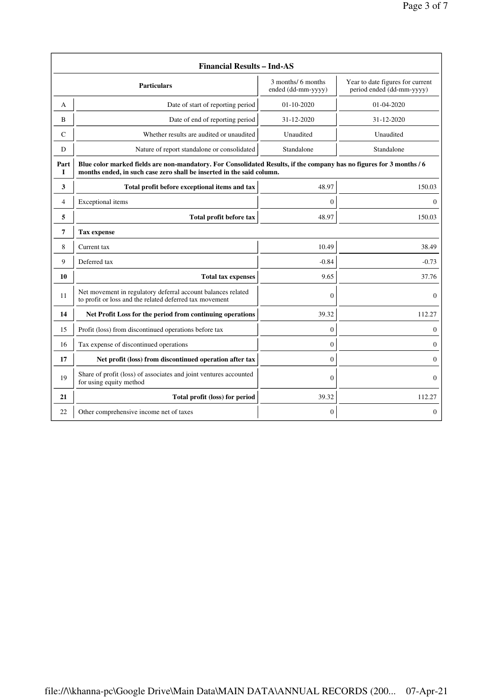| <b>Financial Results - Ind-AS</b>                               |                                                                                                                                                                                               |                                          |                                                               |
|-----------------------------------------------------------------|-----------------------------------------------------------------------------------------------------------------------------------------------------------------------------------------------|------------------------------------------|---------------------------------------------------------------|
|                                                                 | <b>Particulars</b>                                                                                                                                                                            | 3 months/ 6 months<br>ended (dd-mm-yyyy) | Year to date figures for current<br>period ended (dd-mm-yyyy) |
| A                                                               | Date of start of reporting period                                                                                                                                                             | $01-10-2020$                             | $01 - 04 - 2020$                                              |
| B                                                               | Date of end of reporting period                                                                                                                                                               | 31-12-2020                               | 31-12-2020                                                    |
| $\mathsf{C}$                                                    | Whether results are audited or unaudited                                                                                                                                                      | Unaudited                                | Unaudited                                                     |
| D                                                               | Nature of report standalone or consolidated<br>Standalone                                                                                                                                     |                                          | Standalone                                                    |
| Part<br>I                                                       | Blue color marked fields are non-mandatory. For Consolidated Results, if the company has no figures for 3 months / 6<br>months ended, in such case zero shall be inserted in the said column. |                                          |                                                               |
| 3                                                               | Total profit before exceptional items and tax                                                                                                                                                 | 48.97                                    | 150.03                                                        |
| 4<br>Exceptional items                                          |                                                                                                                                                                                               | $\mathbf{0}$                             | $\Omega$                                                      |
| Total profit before tax<br>5                                    |                                                                                                                                                                                               | 48.97                                    | 150.03                                                        |
| 7                                                               | <b>Tax expense</b>                                                                                                                                                                            |                                          |                                                               |
| 8                                                               | Current tax                                                                                                                                                                                   | 10.49                                    | 38.49                                                         |
| 9<br>Deferred tax                                               |                                                                                                                                                                                               | $-0.84$                                  | $-0.73$                                                       |
| 10<br><b>Total tax expenses</b>                                 |                                                                                                                                                                                               | 9.65                                     | 37.76                                                         |
| 11                                                              | Net movement in regulatory deferral account balances related<br>to profit or loss and the related deferred tax movement                                                                       | $\Omega$                                 | $\overline{0}$                                                |
| 14<br>Net Profit Loss for the period from continuing operations |                                                                                                                                                                                               | 39.32                                    | 112.27                                                        |
| 15                                                              | Profit (loss) from discontinued operations before tax                                                                                                                                         | $\mathbf{0}$                             | 0                                                             |
| 16<br>Tax expense of discontinued operations                    |                                                                                                                                                                                               | $\mathbf{0}$                             | 0                                                             |
| 17                                                              | Net profit (loss) from discontinued operation after tax                                                                                                                                       | $\mathbf{0}$<br>$\overline{0}$           |                                                               |
| 19                                                              | Share of profit (loss) of associates and joint ventures accounted<br>for using equity method                                                                                                  | $\mathbf{0}$                             | $\overline{0}$                                                |
| 21                                                              | Total profit (loss) for period                                                                                                                                                                | 39.32                                    | 112.27                                                        |
| 22                                                              | Other comprehensive income net of taxes                                                                                                                                                       | $\boldsymbol{0}$                         | 0                                                             |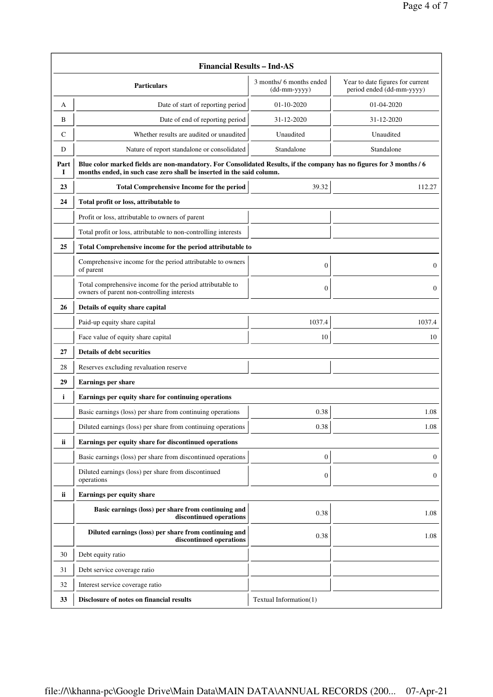| <b>Financial Results - Ind-AS</b> |                                                                                                                                                                                               |                                            |                                                               |
|-----------------------------------|-----------------------------------------------------------------------------------------------------------------------------------------------------------------------------------------------|--------------------------------------------|---------------------------------------------------------------|
|                                   | Particulars                                                                                                                                                                                   | 3 months/ 6 months ended<br>$(dd-mm-yyyy)$ | Year to date figures for current<br>period ended (dd-mm-yyyy) |
| A                                 | Date of start of reporting period                                                                                                                                                             | 01-10-2020                                 | 01-04-2020                                                    |
| B                                 | Date of end of reporting period                                                                                                                                                               | 31-12-2020                                 | 31-12-2020                                                    |
| C                                 | Whether results are audited or unaudited                                                                                                                                                      | Unaudited                                  | Unaudited                                                     |
| D                                 | Nature of report standalone or consolidated                                                                                                                                                   | Standalone                                 | Standalone                                                    |
| Part<br>1                         | Blue color marked fields are non-mandatory. For Consolidated Results, if the company has no figures for 3 months / 6<br>months ended, in such case zero shall be inserted in the said column. |                                            |                                                               |
| 23                                | <b>Total Comprehensive Income for the period</b>                                                                                                                                              | 39.32                                      | 112.27                                                        |
| 24                                | Total profit or loss, attributable to                                                                                                                                                         |                                            |                                                               |
|                                   | Profit or loss, attributable to owners of parent                                                                                                                                              |                                            |                                                               |
|                                   | Total profit or loss, attributable to non-controlling interests                                                                                                                               |                                            |                                                               |
| 25                                | Total Comprehensive income for the period attributable to                                                                                                                                     |                                            |                                                               |
|                                   | Comprehensive income for the period attributable to owners<br>of parent                                                                                                                       | $\boldsymbol{0}$                           | 0                                                             |
|                                   | Total comprehensive income for the period attributable to<br>owners of parent non-controlling interests                                                                                       | $\boldsymbol{0}$                           | $\boldsymbol{0}$                                              |
| 26                                | Details of equity share capital                                                                                                                                                               |                                            |                                                               |
|                                   | Paid-up equity share capital                                                                                                                                                                  | 1037.4                                     | 1037.4                                                        |
|                                   | Face value of equity share capital                                                                                                                                                            | 10                                         | 10                                                            |
| 27                                | <b>Details of debt securities</b>                                                                                                                                                             |                                            |                                                               |
| 28                                | Reserves excluding revaluation reserve                                                                                                                                                        |                                            |                                                               |
| 29                                | Earnings per share                                                                                                                                                                            |                                            |                                                               |
| i                                 | Earnings per equity share for continuing operations                                                                                                                                           |                                            |                                                               |
|                                   | Basic earnings (loss) per share from continuing operations                                                                                                                                    | 0.38                                       | 1.08                                                          |
|                                   | Diluted earnings (loss) per share from continuing operations                                                                                                                                  | 0.38                                       | 1.08                                                          |
| ii                                | Earnings per equity share for discontinued operations                                                                                                                                         |                                            |                                                               |
|                                   | Basic earnings (loss) per share from discontinued operations                                                                                                                                  | $\boldsymbol{0}$                           | 0                                                             |
|                                   | Diluted earnings (loss) per share from discontinued<br>operations                                                                                                                             | $\boldsymbol{0}$                           | 0                                                             |
| ii                                | Earnings per equity share                                                                                                                                                                     |                                            |                                                               |
|                                   | Basic earnings (loss) per share from continuing and<br>discontinued operations                                                                                                                | 0.38                                       | 1.08                                                          |
|                                   | Diluted earnings (loss) per share from continuing and<br>discontinued operations                                                                                                              | 0.38                                       | 1.08                                                          |
| 30                                | Debt equity ratio                                                                                                                                                                             |                                            |                                                               |
| 31                                | Debt service coverage ratio                                                                                                                                                                   |                                            |                                                               |
| 32                                | Interest service coverage ratio                                                                                                                                                               |                                            |                                                               |
| 33                                | Disclosure of notes on financial results                                                                                                                                                      | Textual Information(1)                     |                                                               |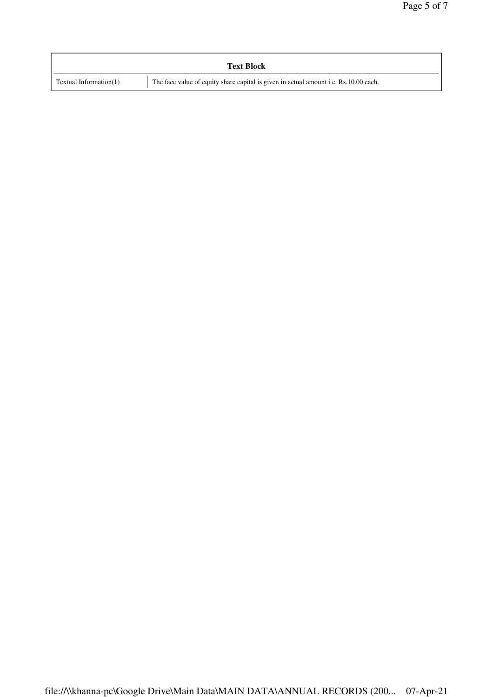| <b>Text Block</b>                                                                                                 |  |  |
|-------------------------------------------------------------------------------------------------------------------|--|--|
| The face value of equity share capital is given in actual amount i.e. Rs.10.00 each.<br>Textual Information $(1)$ |  |  |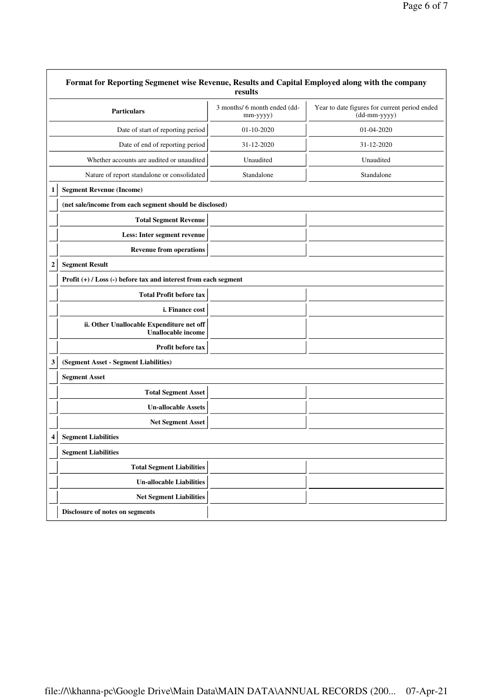|              | Format for Reporting Segmenet wise Revenue, Results and Capital Employed along with the company | results                                  |                                                               |
|--------------|-------------------------------------------------------------------------------------------------|------------------------------------------|---------------------------------------------------------------|
|              | <b>Particulars</b>                                                                              | 3 months/ 6 month ended (dd-<br>mm-yyyy) | Year to date figures for current period ended<br>(dd-mm-yyyy) |
|              | Date of start of reporting period                                                               | $01 - 10 - 2020$                         | 01-04-2020                                                    |
|              | Date of end of reporting period                                                                 | 31-12-2020                               | 31-12-2020                                                    |
|              | Whether accounts are audited or unaudited                                                       | Unaudited                                | Unaudited                                                     |
|              | Nature of report standalone or consolidated                                                     | Standalone                               | Standalone                                                    |
| 1            | <b>Segment Revenue (Income)</b>                                                                 |                                          |                                                               |
|              | (net sale/income from each segment should be disclosed)                                         |                                          |                                                               |
|              | <b>Total Segment Revenue</b>                                                                    |                                          |                                                               |
|              | Less: Inter segment revenue                                                                     |                                          |                                                               |
|              | <b>Revenue from operations</b>                                                                  |                                          |                                                               |
| $\mathbf{2}$ | <b>Segment Result</b>                                                                           |                                          |                                                               |
|              | Profit $(+)$ / Loss $(-)$ before tax and interest from each segment                             |                                          |                                                               |
|              | <b>Total Profit before tax</b>                                                                  |                                          |                                                               |
|              | i. Finance cost                                                                                 |                                          |                                                               |
|              | ii. Other Unallocable Expenditure net off<br><b>Unallocable income</b>                          |                                          |                                                               |
|              | Profit before tax                                                                               |                                          |                                                               |
| 3            | (Segment Asset - Segment Liabilities)                                                           |                                          |                                                               |
|              | <b>Segment Asset</b>                                                                            |                                          |                                                               |
|              | <b>Total Segment Asset</b>                                                                      |                                          |                                                               |
|              | <b>Un-allocable Assets</b>                                                                      |                                          |                                                               |
|              | Net Segment Asset                                                                               |                                          |                                                               |
|              | <b>Segment Liabilities</b>                                                                      |                                          |                                                               |
|              | <b>Segment Liabilities</b>                                                                      |                                          |                                                               |
|              | <b>Total Segment Liabilities</b>                                                                |                                          |                                                               |
|              | <b>Un-allocable Liabilities</b>                                                                 |                                          |                                                               |
|              | <b>Net Segment Liabilities</b>                                                                  |                                          |                                                               |
|              | Disclosure of notes on segments                                                                 |                                          |                                                               |